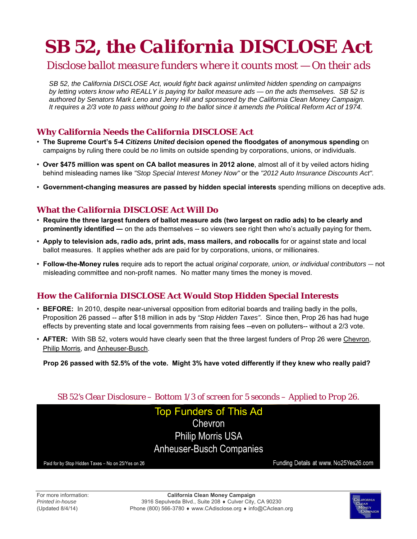# **SB 52, the** *California DISCLOSE Act*

# *Disclose ballot measure funders where it counts most — On their ads*

*SB 52, the California DISCLOSE Act, would fight back against unlimited hidden spending on campaigns by letting voters know who REALLY is paying for ballot measure ads — on the ads themselves. SB 52 is authored by Senators Mark Leno and Jerry Hill and sponsored by the California Clean Money Campaign. It requires a 2/3 vote to pass without going to the ballot since it amends the Political Reform Act of 1974.* 

### **Why California Needs the** *California DISCLOSE Act*

- **The Supreme Court's 5-4** *Citizens United* **decision opened the floodgates of anonymous spending** on campaigns by ruling there could be *no* limits on outside spending by corporations, unions, or individuals.
- **Over \$475 million was spent on CA ballot measures in 2012 alone**, almost all of it by veiled actors hiding behind misleading names like *"Stop Special Interest Money Now"* or the *"2012 Auto Insurance Discounts Act".*
- **Government-changing measures are passed by hidden special interests** spending millions on deceptive ads.

#### **What the** *California DISCLOSE Act* **Will Do**

- **Require the three largest funders of ballot measure ads (two largest on radio ads) to be clearly and prominently identified ―** on the ads themselves -- so viewers see right then who's actually paying for them**.**
- **Apply to television ads, radio ads, print ads, mass mailers, and robocalls** for or against state and local ballot measures. It applies whether ads are paid for by corporations, unions, or millionaires.
- **Follow-the-Money rules** require ads to report the actual *original corporate, union, or individual contributors* ― not misleading committee and non-profit names. No matter many times the money is moved.

## **How the** *California DISCLOSE Act* **Would Stop Hidden Special Interests**

- **BEFORE:** In 2010, despite near-universal opposition from editorial boards and trailing badly in the polls, Proposition 26 passed -- after \$18 million in ads by *"Stop Hidden Taxes"*.Since then, Prop 26 has had huge effects by preventing state and local governments from raising fees --even on polluters-- without a 2/3 vote.
- **AFTER:** With SB 52, voters would have clearly seen that the three largest funders of Prop 26 were Chevron, Philip Morris, and Anheuser-Busch.

**Prop 26 passed with 52.5% of the vote. Might 3% have voted differently if they knew who really paid?**

#### *SB 52's Clear Disclosure – Bottom 1/3 of screen for 5 seconds – Applied to Prop 26.*

**Top Funders of This Ad** Chevron **Philip Morris USA Anheuser-Busch Companies** 

Paid for by Stop Hidden Taxes - No on 25/Yes on 26

Funding Details at www. No25Yes26.com